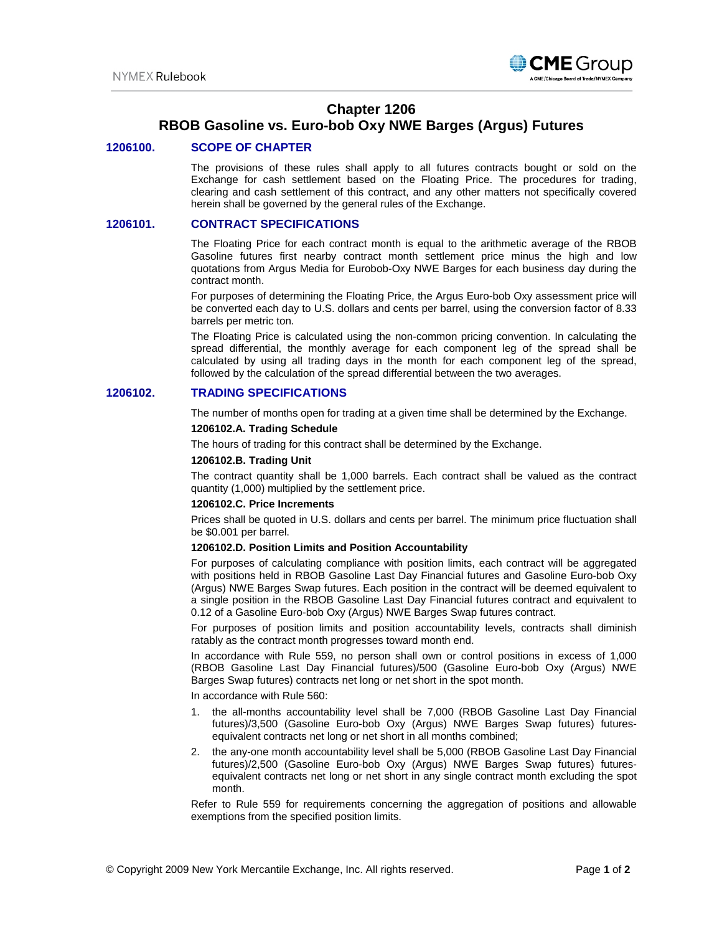

# **Chapter 1206**

# **RBOB Gasoline vs. Euro-bob Oxy NWE Barges (Argus) Futures**

## **1206100. SCOPE OF CHAPTER**

The provisions of these rules shall apply to all futures contracts bought or sold on the Exchange for cash settlement based on the Floating Price. The procedures for trading, clearing and cash settlement of this contract, and any other matters not specifically covered herein shall be governed by the general rules of the Exchange.

### **1206101. CONTRACT SPECIFICATIONS**

The Floating Price for each contract month is equal to the arithmetic average of the RBOB Gasoline futures first nearby contract month settlement price minus the high and low quotations from Argus Media for Eurobob-Oxy NWE Barges for each business day during the contract month.

For purposes of determining the Floating Price, the Argus Euro-bob Oxy assessment price will be converted each day to U.S. dollars and cents per barrel, using the conversion factor of 8.33 barrels per metric ton.

The Floating Price is calculated using the non-common pricing convention. In calculating the spread differential, the monthly average for each component leg of the spread shall be calculated by using all trading days in the month for each component leg of the spread, followed by the calculation of the spread differential between the two averages.

## **1206102. TRADING SPECIFICATIONS**

The number of months open for trading at a given time shall be determined by the Exchange.

## **1206102.A. Trading Schedule**

The hours of trading for this contract shall be determined by the Exchange.

#### **1206102.B. Trading Unit**

The contract quantity shall be 1,000 barrels. Each contract shall be valued as the contract quantity (1,000) multiplied by the settlement price.

#### **1206102.C. Price Increments**

Prices shall be quoted in U.S. dollars and cents per barrel. The minimum price fluctuation shall be \$0.001 per barrel.

#### **1206102.D. Position Limits and Position Accountability**

For purposes of calculating compliance with position limits, each contract will be aggregated with positions held in RBOB Gasoline Last Day Financial futures and Gasoline Euro-bob Oxy (Argus) NWE Barges Swap futures. Each position in the contract will be deemed equivalent to a single position in the RBOB Gasoline Last Day Financial futures contract and equivalent to 0.12 of a Gasoline Euro-bob Oxy (Argus) NWE Barges Swap futures contract.

For purposes of position limits and position accountability levels, contracts shall diminish ratably as the contract month progresses toward month end.

In accordance with Rule 559, no person shall own or control positions in excess of 1,000 (RBOB Gasoline Last Day Financial futures)/500 (Gasoline Euro-bob Oxy (Argus) NWE Barges Swap futures) contracts net long or net short in the spot month.

In accordance with Rule 560:

- 1. the all-months accountability level shall be 7,000 (RBOB Gasoline Last Day Financial futures)/3,500 (Gasoline Euro-bob Oxy (Argus) NWE Barges Swap futures) futuresequivalent contracts net long or net short in all months combined;
- 2. the any-one month accountability level shall be 5,000 (RBOB Gasoline Last Day Financial futures)/2,500 (Gasoline Euro-bob Oxy (Argus) NWE Barges Swap futures) futuresequivalent contracts net long or net short in any single contract month excluding the spot month.

Refer to Rule 559 for requirements concerning the aggregation of positions and allowable exemptions from the specified position limits.